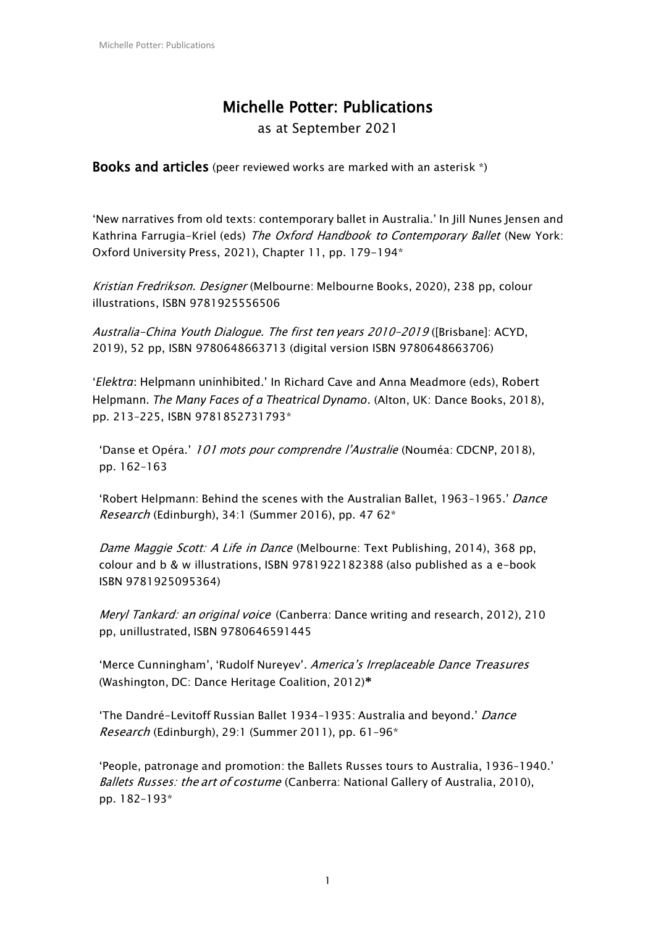# Michelle Potter: Publications

as at September 2021

Books and articles (peer reviewed works are marked with an asterisk \*)

'New narratives from old texts: contemporary ballet in Australia.' In Jill Nunes Jensen and Kathrina Farrugia-Kriel (eds) The Oxford Handbook to Contemporary Ballet (New York: Oxford University Press, 2021), Chapter 11, pp. 179-194\*

Kristian Fredrikson. Designer (Melbourne: Melbourne Books, 2020), 238 pp, colour illustrations, ISBN 9781925556506

Australia-China Youth Dialogue. The first ten years 2010–2019 ([Brisbane]: ACYD, 2019), 52 pp, ISBN 9780648663713 (digital version ISBN 9780648663706)

'*Elektra*: Helpmann uninhibited.' In Richard Cave and Anna Meadmore (eds), Robert Helpmann. *The Many Faces of a Theatrical Dynamo*. (Alton, UK: Dance Books, 2018), pp. 213–225, ISBN 9781852731793\*

'Danse et Opéra.' 101 mots pour comprendre l'Australie (Nouméa: CDCNP, 2018), pp. 162–163

'Robert Helpmann: Behind the scenes with the Australian Ballet, 1963-1965.' Dance Research (Edinburgh), 34:1 (Summer 2016), pp. 47 62\*

Dame Maggie Scott: A Life in Dance (Melbourne: Text Publishing, 2014), 368 pp, colour and b & w illustrations, ISBN 9781922182388 (also published as a e-book ISBN 9781925095364)

Meryl Tankard: an original voice (Canberra: Dance writing and research, 2012), 210 pp, unillustrated, ISBN 9780646591445

'Merce Cunningham', 'Rudolf Nureyev'. America's Irreplaceable Dance Treasures (Washington, DC: Dance Heritage Coalition, 2012)**\***

'The Dandré-Levitoff Russian Ballet 1934–1935: Australia and beyond.' Dance Research (Edinburgh), 29:1 (Summer 2011), pp. 61–96\*

'People, patronage and promotion: the Ballets Russes tours to Australia, 1936–1940.' Ballets Russes: the art of costume (Canberra: National Gallery of Australia, 2010), pp. 182–193\*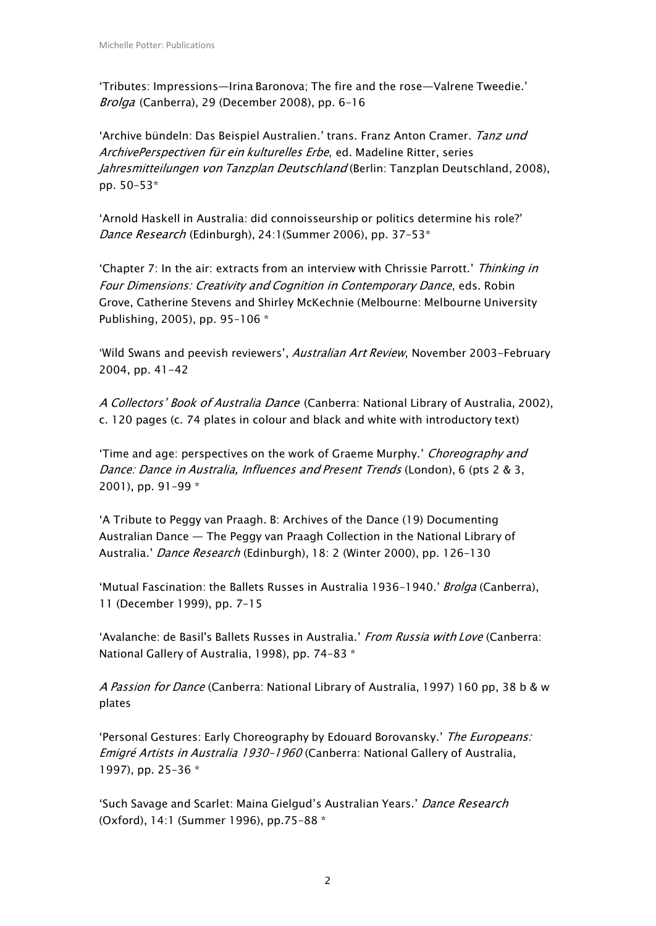'Tributes: Impressions—Irina Baronova; The fire and the rose—Valrene Tweedie.' Brolga (Canberra), 29 (December 2008), pp. 6–16

'Archive bündeln: Das Beispiel Australien.' trans. Franz Anton Cramer. Tanz und ArchivePerspectiven für ein kulturelles Erbe, ed. Madeline Ritter, series Jahresmitteilungen von Tanzplan Deutschland (Berlin: Tanzplan Deutschland, 2008), pp. 50–53\*

'Arnold Haskell in Australia: did connoisseurship or politics determine his role?' Dance Research (Edinburgh), 24:1(Summer 2006), pp. 37-53\*

'Chapter 7: In the air: extracts from an interview with Chrissie Parrott.' Thinking in Four Dimensions: Creativity and Cognition in Contemporary Dance, eds. Robin Grove, Catherine Stevens and Shirley McKechnie (Melbourne: Melbourne University Publishing, 2005), pp. 95–106 \*

'Wild Swans and peevish reviewers', Australian Art Review, November 2003-February 2004, pp. 41-42

A Collectors' Book of Australia Dance (Canberra: National Library of Australia, 2002), c. 120 pages (c. 74 plates in colour and black and white with introductory text)

'Time and age: perspectives on the work of Graeme Murphy.' Choreography and Dance: Dance in Australia, Influences and Present Trends (London), 6 (pts 2 & 3, 2001), pp. 91–99 \*

'A Tribute to Peggy van Praagh. B: Archives of the Dance (19) Documenting Australian Dance — The Peggy van Praagh Collection in the National Library of Australia.' Dance Research (Edinburgh), 18: 2 (Winter 2000), pp. 126-130

'Mutual Fascination: the Ballets Russes in Australia 1936-1940.' Brolga (Canberra), 11 (December 1999), pp. 7–15

'Avalanche: de Basil's Ballets Russes in Australia.' From Russia with Love (Canberra: National Gallery of Australia, 1998), pp. 74–83 \*

A Passion for Dance (Canberra: National Library of Australia, 1997) 160 pp, 38 b & w plates

'Personal Gestures: Early Choreography by Edouard Borovansky.' The Europeans: Emigré Artists in Australia 1930–1960 (Canberra: National Gallery of Australia, 1997), pp. 25–36 \*

'Such Savage and Scarlet: Maina Gielgud's Australian Years.' Dance Research (Oxford), 14:1 (Summer 1996), pp.75–88 \*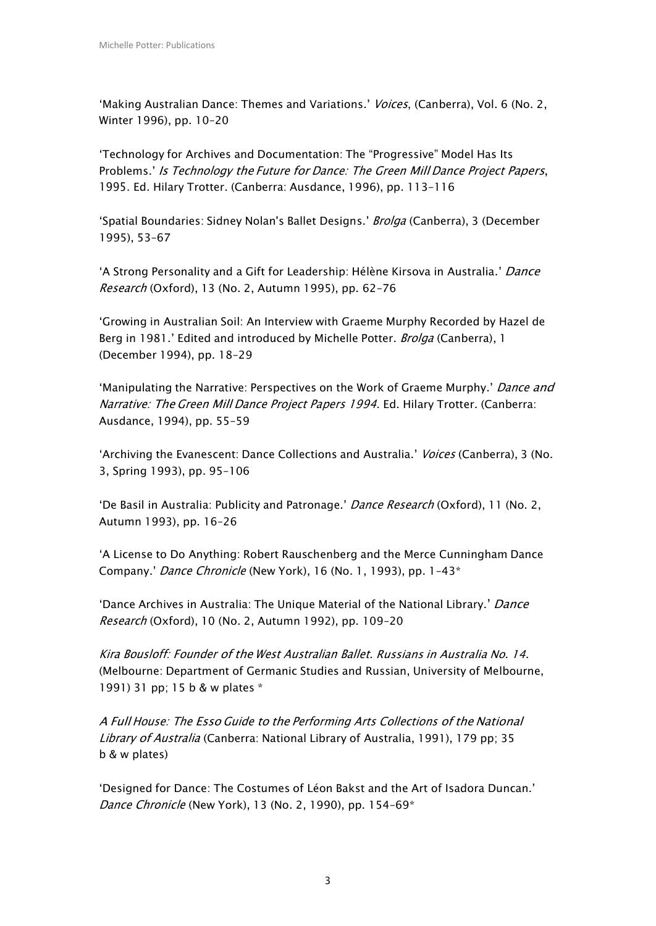'Making Australian Dance: Themes and Variations.' Voices, (Canberra), Vol. 6 (No. 2, Winter 1996), pp. 10–20

'Technology for Archives and Documentation: The "Progressive" Model Has Its Problems.' Is Technology the Future for Dance: The Green Mill Dance Project Papers, 1995. Ed. Hilary Trotter. (Canberra: Ausdance, 1996), pp. 113–116

'Spatial Boundaries: Sidney Nolan's Ballet Designs.' Brolga (Canberra), 3 (December 1995), 53–67

'A Strong Personality and a Gift for Leadership: Hélène Kirsova in Australia.' Dance Research (Oxford), 13 (No. 2, Autumn 1995), pp. 62–76

'Growing in Australian Soil: An Interview with Graeme Murphy Recorded by Hazel de Berg in 1981.' Edited and introduced by Michelle Potter. Brolga (Canberra), 1 (December 1994), pp. 18–29

'Manipulating the Narrative: Perspectives on the Work of Graeme Murphy.' Dance and Narrative: The Green Mill Dance Project Papers 1994. Ed. Hilary Trotter. (Canberra: Ausdance, 1994), pp. 55–59

'Archiving the Evanescent: Dance Collections and Australia.' Voices (Canberra), 3 (No. 3, Spring 1993), pp. 95–106

'De Basil in Australia: Publicity and Patronage.' Dance Research (Oxford), 11 (No. 2, Autumn 1993), pp. 16–26

'A License to Do Anything: Robert Rauschenberg and the Merce Cunningham Dance Company.' Dance Chronicle (New York), 16 (No. 1, 1993), pp. 1–43\*

'Dance Archives in Australia: The Unique Material of the National Library.' Dance Research (Oxford), 10 (No. 2, Autumn 1992), pp. 109–20

Kira Bousloff: Founder of the West Australian Ballet. Russians in Australia No. 14. (Melbourne: Department of Germanic Studies and Russian, University of Melbourne, 1991) 31 pp; 15 b & w plates \*

A Full House: The Esso Guide to the Performing Arts Collections of the National Library of Australia (Canberra: National Library of Australia, 1991), 179 pp; 35 b & w plates)

'Designed for Dance: The Costumes of Léon Bakst and the Art of Isadora Duncan.' Dance Chronicle (New York), 13 (No. 2, 1990), pp. 154-69\*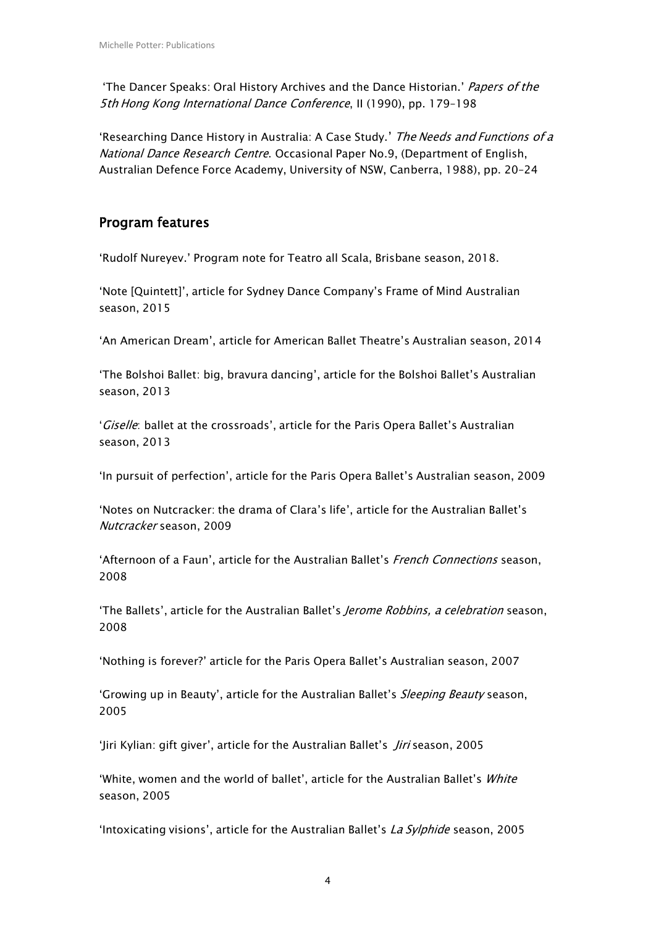'The Dancer Speaks: Oral History Archives and the Dance Historian.' Papers of the 5th Hong Kong International Dance Conference, II (1990), pp. 179–198

'Researching Dance History in Australia: A Case Study.' The Needs and Functions of a National Dance Research Centre. Occasional Paper No.9, (Department of English, Australian Defence Force Academy, University of NSW, Canberra, 1988), pp. 20–24

## Program features

'Rudolf Nureyev.' Program note for Teatro all Scala, Brisbane season, 2018.

'Note [Quintett]', article for Sydney Dance Company's Frame of Mind Australian season, 2015

'An American Dream', article for American Ballet Theatre's Australian season, 2014

'The Bolshoi Ballet: big, bravura dancing', article for the Bolshoi Ballet's Australian season, 2013

'Giselle: ballet at the crossroads', article for the Paris Opera Ballet's Australian season, 2013

'In pursuit of perfection', article for the Paris Opera Ballet's Australian season, 2009

'Notes on Nutcracker: the drama of Clara's life', article for the Australian Ballet's Nutcracker season, 2009

'Afternoon of a Faun', article for the Australian Ballet's French Connections season, 2008

'The Ballets', article for the Australian Ballet's *Jerome Robbins, a celebration* season, 2008

'Nothing is forever?' article for the Paris Opera Ballet's Australian season, 2007

'Growing up in Beauty', article for the Australian Ballet's Sleeping Beauty season, 2005

'Jiri Kylian: gift giver', article for the Australian Ballet's Jiri season, 2005

'White, women and the world of ballet', article for the Australian Ballet's White season, 2005

'Intoxicating visions', article for the Australian Ballet's La Sylphide season, 2005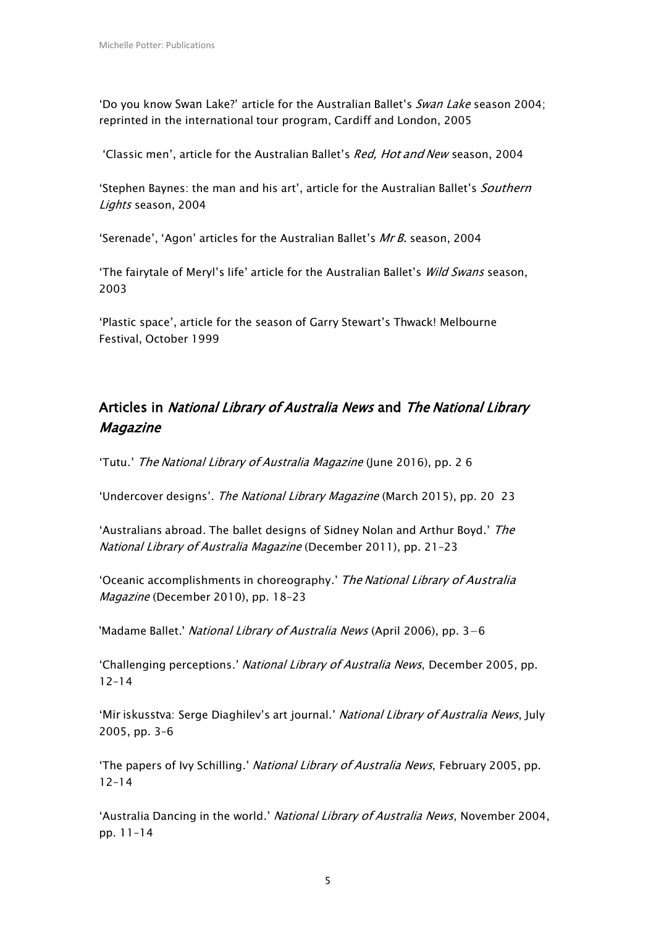'Do you know Swan Lake?' article for the Australian Ballet's Swan Lake season 2004; reprinted in the international tour program, Cardiff and London, 2005

'Classic men', article for the Australian Ballet's Red, Hot and New season, 2004

'Stephen Baynes: the man and his art', article for the Australian Ballet's Southern Lights season, 2004

'Serenade', 'Agon' articles for the Australian Ballet's Mr B. season, 2004

'The fairytale of Meryl's life' article for the Australian Ballet's Wild Swans season, 2003

'Plastic space', article for the season of Garry Stewart's Thwack! Melbourne Festival, October 1999

## Articles in National Library of Australia News and The National Library Magazine

'Tutu.' The National Library of Australia Magazine (June 2016), pp. 2 6

'Undercover designs'. The National Library Magazine (March 2015), pp. 20 23

'Australians abroad. The ballet designs of Sidney Nolan and Arthur Boyd.' The National Library of Australia Magazine (December 2011), pp. 21–23

'Oceanic accomplishments in choreography.' The National Library of Australia Magazine (December 2010), pp. 18–23

'Madame Ballet.' National Library of Australia News (April 2006), pp. 3−6

'Challenging perceptions.' National Library of Australia News, December 2005, pp. 12–14

'Mir iskusstva: Serge Diaghilev's art journal.' National Library of Australia News, July 2005, pp. 3–6

'The papers of Ivy Schilling.' National Library of Australia News, February 2005, pp. 12–14

'Australia Dancing in the world.' National Library of Australia News, November 2004, pp. 11–14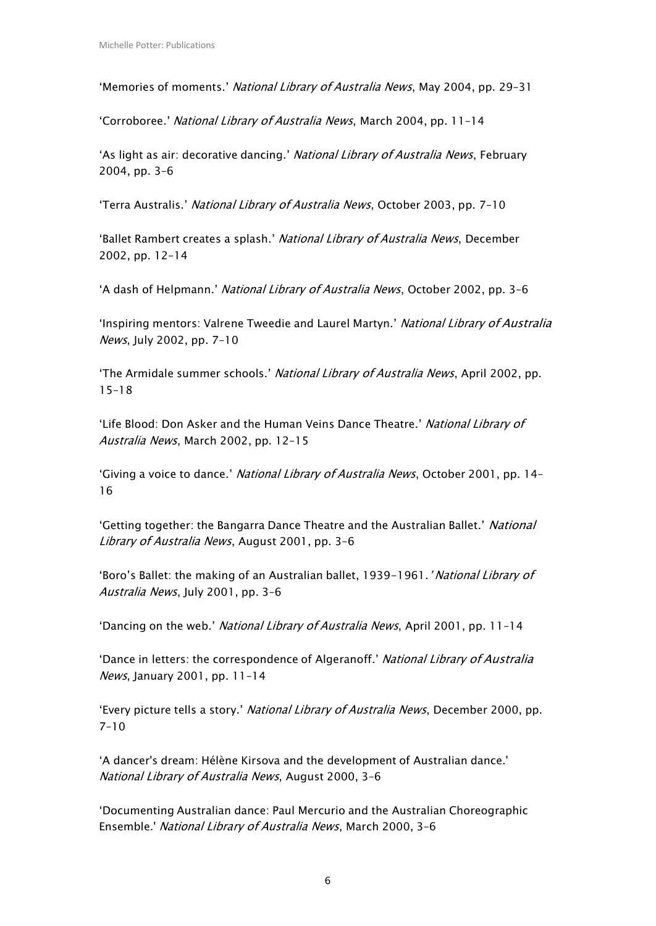'Memories of moments.' National Library of Australia News, May 2004, pp. 29–31

'Corroboree.' National Library of Australia News, March 2004, pp. 11–14

'As light as air: decorative dancing.' National Library of Australia News, February 2004, pp. 3–6

'Terra Australis.' National Library of Australia News, October 2003, pp. 7–10

'Ballet Rambert creates a splash.' National Library of Australia News, December 2002, pp. 12–14

'A dash of Helpmann.' National Library of Australia News, October 2002, pp. 3–6

'Inspiring mentors: Valrene Tweedie and Laurel Martyn.' National Library of Australia News, July 2002, pp. 7–10

'The Armidale summer schools.' National Library of Australia News, April 2002, pp. 15–18

'Life Blood: Don Asker and the Human Veins Dance Theatre.' National Library of Australia News, March 2002, pp. 12–15

'Giving a voice to dance.' National Library of Australia News, October 2001, pp. 14– 16

'Getting together: the Bangarra Dance Theatre and the Australian Ballet.' National Library of Australia News, August 2001, pp. 3-6

'Boro's Ballet: the making of an Australian ballet, 1939-1961.' National Library of Australia News, July 2001, pp. 3–6

'Dancing on the web.' National Library of Australia News, April 2001, pp. 11–14

'Dance in letters: the correspondence of Algeranoff.' National Library of Australia News, January 2001, pp. 11–14

'Every picture tells a story.' National Library of Australia News, December 2000, pp. 7–10

'A dancer's dream: Hélène Kirsova and the development of Australian dance.' National Library of Australia News, August 2000, 3–6

'Documenting Australian dance: Paul Mercurio and the Australian Choreographic Ensemble.' National Library of Australia News, March 2000, 3–6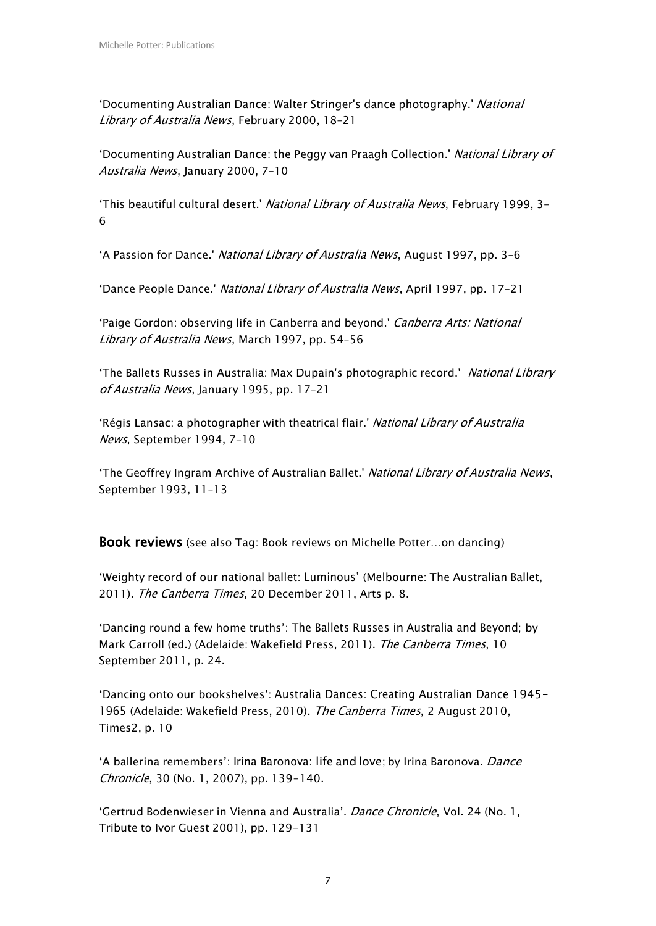'Documenting Australian Dance: Walter Stringer's dance photography.' National Library of Australia News, February 2000, 18-21

'Documenting Australian Dance: the Peggy van Praagh Collection.' National Library of Australia News, January 2000, 7–10

'This beautiful cultural desert.' National Library of Australia News, February 1999, 3-6

'A Passion for Dance.' National Library of Australia News, August 1997, pp. 3–6

'Dance People Dance.' National Library of Australia News, April 1997, pp. 17–21

'Paige Gordon: observing life in Canberra and beyond.' Canberra Arts: National Library of Australia News, March 1997, pp. 54-56

'The Ballets Russes in Australia: Max Dupain's photographic record.' National Library of Australia News, January 1995, pp. 17–21

'Régis Lansac: a photographer with theatrical flair.' National Library of Australia News, September 1994, 7–10

'The Geoffrey Ingram Archive of Australian Ballet.' National Library of Australia News, September 1993, 11–13

Book reviews (see also Tag: Book reviews on Michelle Potter…on dancing)

'Weighty record of our national ballet: Luminous' (Melbourne: The Australian Ballet, 2011). The Canberra Times, 20 December 2011, Arts p. 8.

'Dancing round a few home truths': The Ballets Russes in Australia and Beyond; by Mark Carroll (ed.) (Adelaide: Wakefield Press, 2011). The Canberra Times, 10 September 2011, p. 24.

'Dancing onto our bookshelves': Australia Dances: Creating Australian Dance 1945‒ 1965 (Adelaide: Wakefield Press, 2010). The Canberra Times, 2 August 2010, Times2, p. 10

'A ballerina remembers': Irina Baronova: life and love; by Irina Baronova. Dance Chronicle, 30 (No. 1, 2007), pp. 139-140.

'Gertrud Bodenwieser in Vienna and Australia'. Dance Chronicle, Vol. 24 (No. 1, Tribute to Ivor Guest 2001), pp. 129-131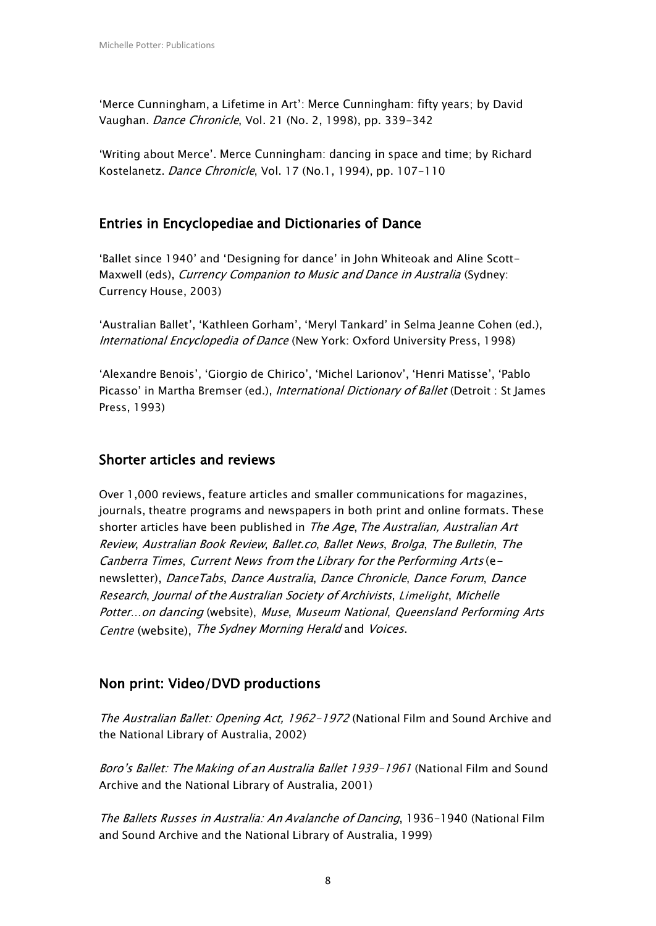'Merce Cunningham, a Lifetime in Art': Merce Cunningham: fifty years; by David Vaughan. Dance Chronicle, Vol. 21 (No. 2, 1998), pp. 339-342

'Writing about Merce'. Merce Cunningham: dancing in space and time; by Richard Kostelanetz. Dance Chronicle, Vol. 17 (No.1, 1994), pp. 107-110

## Entries in Encyclopediae and Dictionaries of Dance

'Ballet since 1940' and 'Designing for dance' in John Whiteoak and Aline Scott-Maxwell (eds), Currency Companion to Music and Dance in Australia (Sydney: Currency House, 2003)

'Australian Ballet', 'Kathleen Gorham', 'Meryl Tankard' in Selma Jeanne Cohen (ed.), International Encyclopedia of Dance (New York: Oxford University Press, 1998)

'Alexandre Benois', 'Giorgio de Chirico', 'Michel Larionov', 'Henri Matisse', 'Pablo Picasso' in Martha Bremser (ed.), *International Dictionary of Ballet* (Detroit : St James Press, 1993)

### Shorter articles and reviews

Over 1,000 reviews, feature articles and smaller communications for magazines, journals, theatre programs and newspapers in both print and online formats. These shorter articles have been published in The Age, The Australian, Australian Art Review, Australian Book Review, Ballet.co, Ballet News, Brolga, The Bulletin, The Canberra Times, Current News from the Library for the Performing Arts (enewsletter), DanceTabs, Dance Australia, Dance Chronicle, Dance Forum, Dance Research, Journal of the Australian Society of Archivists, Limelight, Michelle Potter…on dancing (website), Muse, Museum National, Queensland Performing Arts Centre (website), The Sydney Morning Herald and Voices.

### Non print: Video/DVD productions

The Australian Ballet: Opening Act, 1962-1972 (National Film and Sound Archive and the National Library of Australia, 2002)

Boro's Ballet: The Making of an Australia Ballet 1939-1961 (National Film and Sound Archive and the National Library of Australia, 2001)

The Ballets Russes in Australia: An Avalanche of Dancing, 1936-1940 (National Film and Sound Archive and the National Library of Australia, 1999)